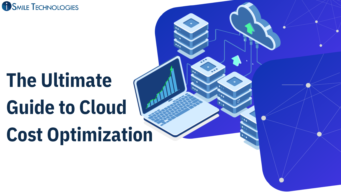

# **The Ultimate Guide to Cloud Cost Optimization**

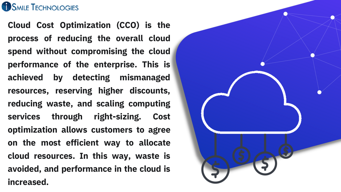#### **SMILE TECHNOLOGIES**

**Cloud Cost Optimization (CCO) is the process of reducing the overall cloud spend without compromising the cloud performance of the enterprise. This is achieved by detecting mismanaged resources, reserving higher discounts, reducing waste, and scaling computing services through right-sizing. Cost optimization allows customers to agree on the most efficient way to allocate cloud resources. In this way, waste is avoided, and performance in the cloud is increased.**

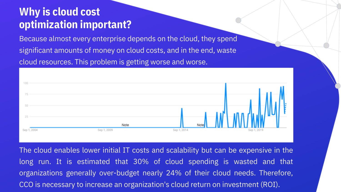#### **Why is cloud cost optimization important?**

Because almost every enterprise depends on the cloud, they spend significant amounts of money on cloud costs, and in the end, waste cloud resources. This problem is getting worse and worse.



The cloud enables lower initial IT costs and scalability but can be expensive in the long run. It is estimated that 30% of cloud spending is wasted and that organizations generally over-budget nearly 24% of their cloud needs. Therefore, CCO is necessary to increase an organization's cloud return on investment (ROI).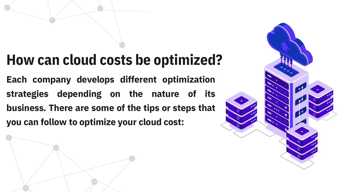### **How can cloud costs be optimized?**

**Each company develops different optimization strategies depending on the nature of its business. There are some of the tips or steps that you can follow to optimize your cloud cost:**

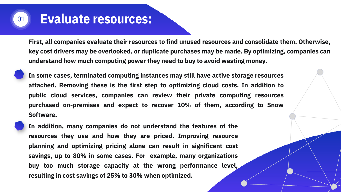#### **Evaluate resources:** <sup>01</sup>

**First, all companies evaluate their resources to find unused resources and consolidate them. Otherwise, key cost drivers may be overlooked, or duplicate purchases may be made. By optimizing, companies can understand how much computing power they need to buy to avoid wasting money.**

**In some cases, terminated computing instances may still have active storage resources attached. Removing these is the first step to optimizing cloud costs. In addition to public cloud services, companies can review their private computing resources purchased on-premises and expect to recover 10% of them, according to Snow Software.**

**In addition, many companies do not understand the features of the resources they use and how they are priced. Improving resource planning and optimizing pricing alone can result in significant cost savings, up to 80% in some cases. For example, many organizations buy too much storage capacity at the wrong performance level, resulting in cost savings of 25% to 30% when optimized.**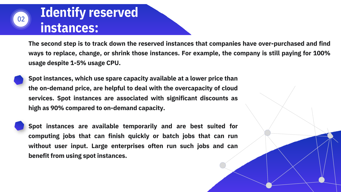## 02

### **Identify reserved instances:**

**The second step is to track down the reserved instances that companies have over-purchased and find ways to replace, change, or shrink those instances. For example, the company is still paying for 100% usage despite 1-5% usage CPU.**



**Spot instances, which use spare capacity available at a lower price than the on-demand price, are helpful to deal with the overcapacity of cloud services. Spot instances are associated with significant discounts as high as 90% compared to on-demand capacity.**

**Spot instances are available temporarily and are best suited for computing jobs that can finish quickly or batch jobs that can run without user input. Large enterprises often run such jobs and can benefit from using spot instances.**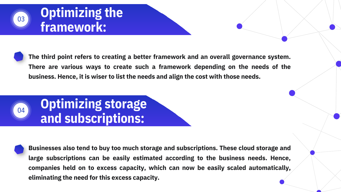#### **Optimizing the framework:**

03

**The third point refers to creating a better framework and an overall governance system. There are various ways to create such a framework depending on the needs of the business. Hence, it is wiser to list the needs and align the cost with those needs.**



**Businesses also tend to buy too much storage and subscriptions. These cloud storage and large subscriptions can be easily estimated according to the business needs. Hence, companies held on to excess capacity, which can now be easily scaled automatically, eliminating the need for this excess capacity.**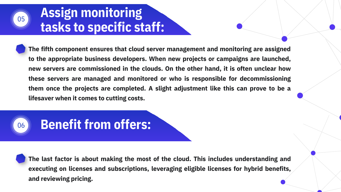#### **Assign monitoring tasks to specific staff:**

**The fifth component ensures that cloud server management and monitoring are assigned to the appropriate business developers. When new projects or campaigns are launched, new servers are commissioned in the clouds. On the other hand, it is often unclear how these servers are managed and monitored or who is responsible for decommissioning them once the projects are completed. A slight adjustment like this can prove to be a lifesaver when it comes to cutting costs.**



05

### <sup>06</sup> **Benefit from offers:**

**The last factor is about making the most of the cloud. This includes understanding and executing on licenses and subscriptions, leveraging eligible licenses for hybrid benefits, and reviewing pricing.**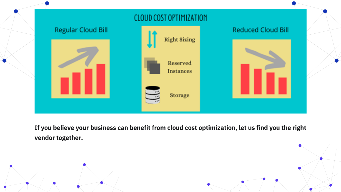

**If you believe your business can benefit from cloud cost optimization, let us find you the right vendor together.**